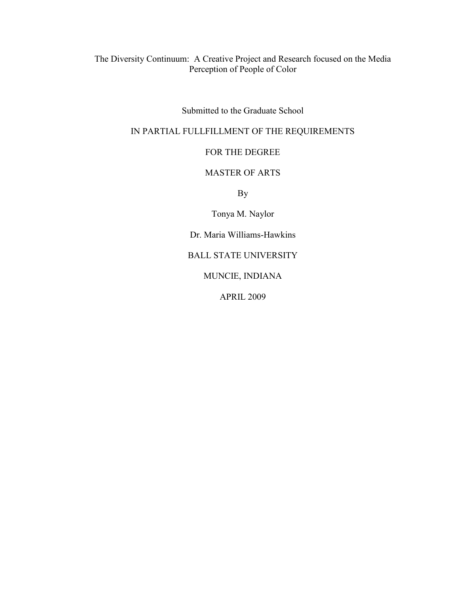The Diversity Continuum: A Creative Project and Research focused on the Media Perception of People of Color

Submitted to the Graduate School

## IN PARTIAL FULLFILLMENT OF THE REQUIREMENTS

## FOR THE DEGREE

## MASTER OF ARTS

By

Tonya M. Naylor

Dr. Maria Williams-Hawkins

BALL STATE UNIVERSITY

MUNCIE, INDIANA

APRIL 2009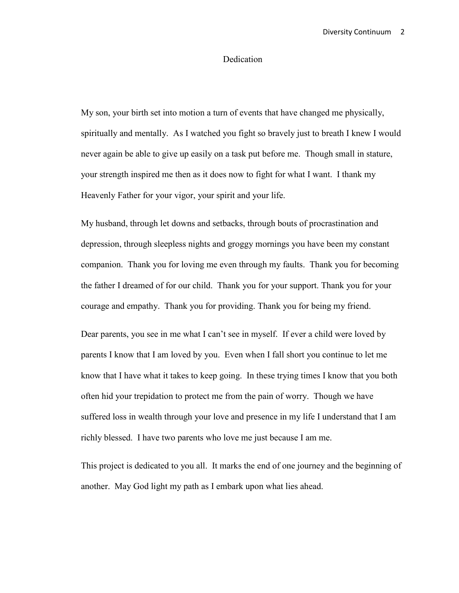## Dedication

My son, your birth set into motion a turn of events that have changed me physically, spiritually and mentally. As I watched you fight so bravely just to breath I knew I would never again be able to give up easily on a task put before me. Though small in stature, your strength inspired me then as it does now to fight for what I want. I thank my Heavenly Father for your vigor, your spirit and your life.

My husband, through let downs and setbacks, through bouts of procrastination and depression, through sleepless nights and groggy mornings you have been my constant companion. Thank you for loving me even through my faults. Thank you for becoming the father I dreamed of for our child. Thank you for your support. Thank you for your courage and empathy. Thank you for providing. Thank you for being my friend.

Dear parents, you see in me what I can't see in myself. If ever a child were loved by parents I know that I am loved by you. Even when I fall short you continue to let me know that I have what it takes to keep going. In these trying times I know that you both often hid your trepidation to protect me from the pain of worry. Though we have suffered loss in wealth through your love and presence in my life I understand that I am richly blessed. I have two parents who love me just because I am me.

This project is dedicated to you all. It marks the end of one journey and the beginning of another. May God light my path as I embark upon what lies ahead.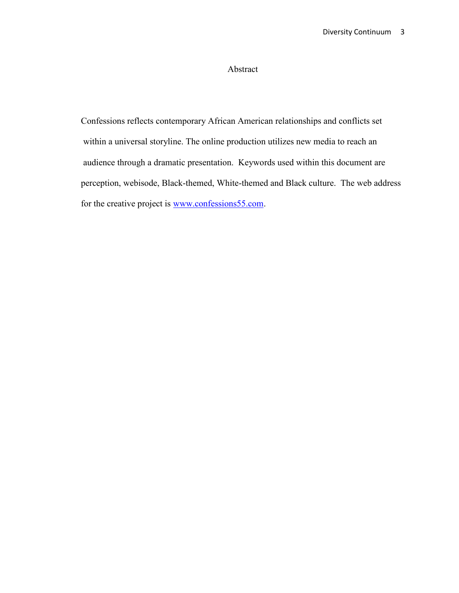# Abstract

Confessions reflects contemporary African American relationships and conflicts set within a universal storyline. The online production utilizes new media to reach an audience through a dramatic presentation. Keywords used within this document are perception, webisode, Black-themed, White-themed and Black culture. The web address for the creative project is [www.confessions55.com.](http://www.confessions55.com/)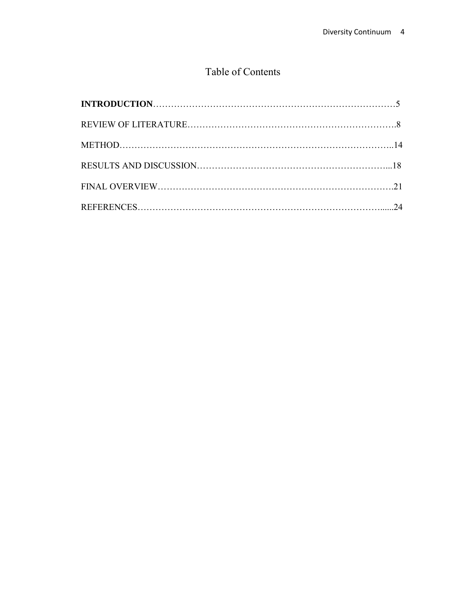# Table of Contents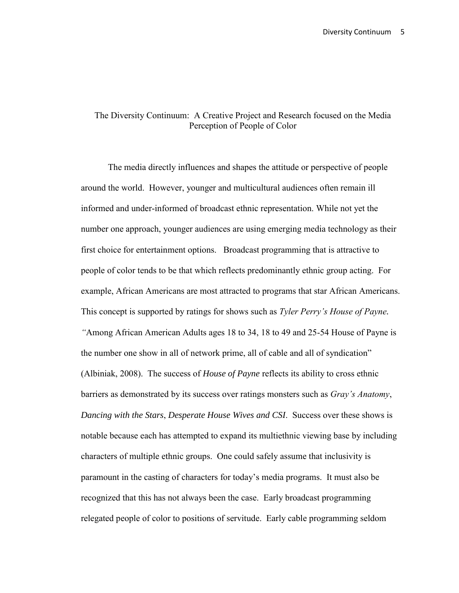# The Diversity Continuum: A Creative Project and Research focused on the Media Perception of People of Color

The media directly influences and shapes the attitude or perspective of people around the world. However, younger and multicultural audiences often remain ill informed and under-informed of broadcast ethnic representation. While not yet the number one approach, younger audiences are using emerging media technology as their first choice for entertainment options. Broadcast programming that is attractive to people of color tends to be that which reflects predominantly ethnic group acting. For example, African Americans are most attracted to programs that star African Americans. This concept is supported by ratings for shows such as *Tyler Perry's House of Payne. "*Among African American Adults ages 18 to 34, 18 to 49 and 25-54 House of Payne is the number one show in all of network prime, all of cable and all of syndication" (Albiniak, 2008). The success of *House of Payne* reflects its ability to cross ethnic barriers as demonstrated by its success over ratings monsters such as *Gray's Anatomy*, *Dancing with the Stars*, *Desperate House Wives and CSI*. Success over these shows is notable because each has attempted to expand its multiethnic viewing base by including characters of multiple ethnic groups. One could safely assume that inclusivity is paramount in the casting of characters for today's media programs. It must also be recognized that this has not always been the case. Early broadcast programming relegated people of color to positions of servitude. Early cable programming seldom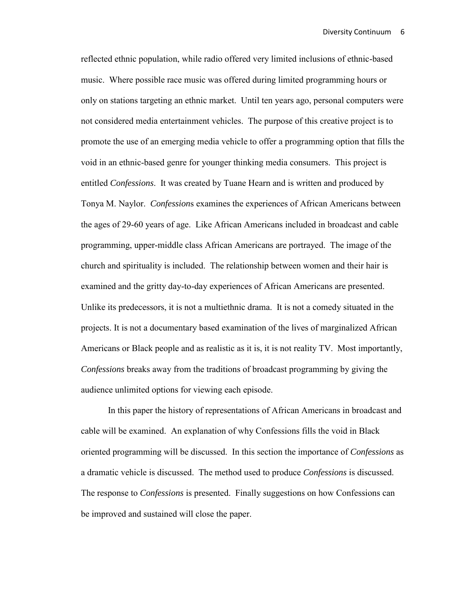reflected ethnic population, while radio offered very limited inclusions of ethnic-based music. Where possible race music was offered during limited programming hours or only on stations targeting an ethnic market. Until ten years ago, personal computers were not considered media entertainment vehicles. The purpose of this creative project is to promote the use of an emerging media vehicle to offer a programming option that fills the void in an ethnic-based genre for younger thinking media consumers. This project is entitled *Confessions*. It was created by Tuane Hearn and is written and produced by Tonya M. Naylor. *Confession*s examines the experiences of African Americans between the ages of 29-60 years of age. Like African Americans included in broadcast and cable programming, upper-middle class African Americans are portrayed. The image of the church and spirituality is included. The relationship between women and their hair is examined and the gritty day-to-day experiences of African Americans are presented. Unlike its predecessors, it is not a multiethnic drama. It is not a comedy situated in the projects. It is not a documentary based examination of the lives of marginalized African Americans or Black people and as realistic as it is, it is not reality TV. Most importantly, *Confessions* breaks away from the traditions of broadcast programming by giving the audience unlimited options for viewing each episode.

In this paper the history of representations of African Americans in broadcast and cable will be examined. An explanation of why Confessions fills the void in Black oriented programming will be discussed. In this section the importance of *Confessions* as a dramatic vehicle is discussed. The method used to produce *Confessions* is discussed. The response to *Confessions* is presented. Finally suggestions on how Confessions can be improved and sustained will close the paper.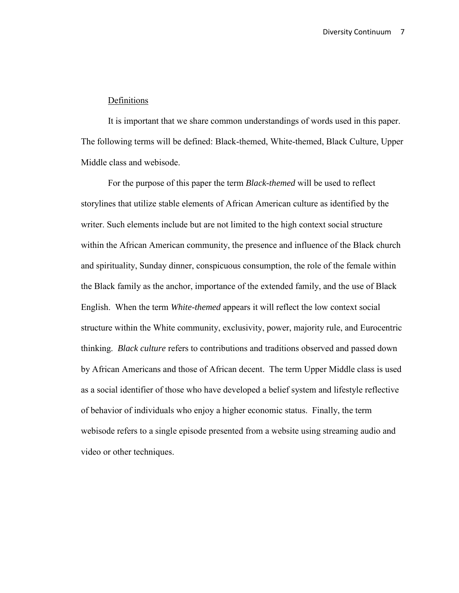#### Definitions

It is important that we share common understandings of words used in this paper. The following terms will be defined: Black-themed, White-themed, Black Culture, Upper Middle class and webisode.

For the purpose of this paper the term *Black-themed* will be used to reflect storylines that utilize stable elements of African American culture as identified by the writer. Such elements include but are not limited to the high context social structure within the African American community, the presence and influence of the Black church and spirituality, Sunday dinner, conspicuous consumption, the role of the female within the Black family as the anchor, importance of the extended family, and the use of Black English. When the term *White-themed* appears it will reflect the low context social structure within the White community, exclusivity, power, majority rule, and Eurocentric thinking. *Black culture* refers to contributions and traditions observed and passed down by African Americans and those of African decent. The term Upper Middle class is used as a social identifier of those who have developed a belief system and lifestyle reflective of behavior of individuals who enjoy a higher economic status. Finally, the term webisode refers to a single episode presented from a website using streaming audio and video or other techniques.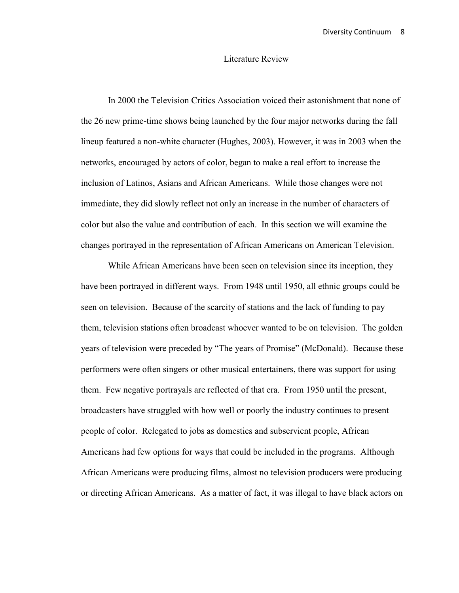#### Literature Review

In 2000 the Television Critics Association voiced their astonishment that none of the 26 new prime-time shows being launched by the four major networks during the fall lineup featured a non-white character (Hughes, 2003). However, it was in 2003 when the networks, encouraged by actors of color, began to make a real effort to increase the inclusion of Latinos, Asians and African Americans. While those changes were not immediate, they did slowly reflect not only an increase in the number of characters of color but also the value and contribution of each. In this section we will examine the changes portrayed in the representation of African Americans on American Television.

While African Americans have been seen on television since its inception, they have been portrayed in different ways. From 1948 until 1950, all ethnic groups could be seen on television. Because of the scarcity of stations and the lack of funding to pay them, television stations often broadcast whoever wanted to be on television. The golden years of television were preceded by "The years of Promise" (McDonald). Because these performers were often singers or other musical entertainers, there was support for using them. Few negative portrayals are reflected of that era. From 1950 until the present, broadcasters have struggled with how well or poorly the industry continues to present people of color. Relegated to jobs as domestics and subservient people, African Americans had few options for ways that could be included in the programs. Although African Americans were producing films, almost no television producers were producing or directing African Americans. As a matter of fact, it was illegal to have black actors on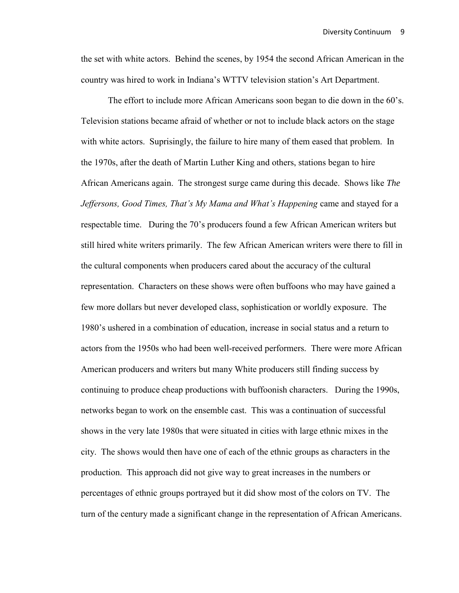the set with white actors. Behind the scenes, by 1954 the second African American in the country was hired to work in Indiana's WTTV television station's Art Department.

The effort to include more African Americans soon began to die down in the 60's. Television stations became afraid of whether or not to include black actors on the stage with white actors. Suprisingly, the failure to hire many of them eased that problem. In the 1970s, after the death of Martin Luther King and others, stations began to hire African Americans again. The strongest surge came during this decade. Shows like *The Jeffersons, Good Times, That's My Mama and What's Happening* came and stayed for a respectable time. During the 70's producers found a few African American writers but still hired white writers primarily. The few African American writers were there to fill in the cultural components when producers cared about the accuracy of the cultural representation. Characters on these shows were often buffoons who may have gained a few more dollars but never developed class, sophistication or worldly exposure. The 1980's ushered in a combination of education, increase in social status and a return to actors from the 1950s who had been well-received performers. There were more African American producers and writers but many White producers still finding success by continuing to produce cheap productions with buffoonish characters. During the 1990s, networks began to work on the ensemble cast. This was a continuation of successful shows in the very late 1980s that were situated in cities with large ethnic mixes in the city. The shows would then have one of each of the ethnic groups as characters in the production. This approach did not give way to great increases in the numbers or percentages of ethnic groups portrayed but it did show most of the colors on TV. The turn of the century made a significant change in the representation of African Americans.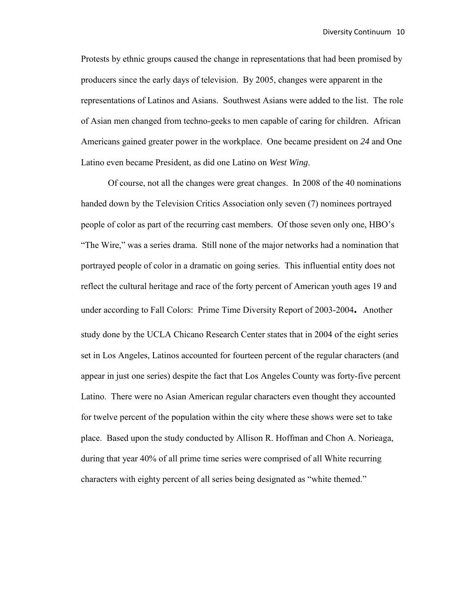Protests by ethnic groups caused the change in representations that had been promised by producers since the early days of television. By 2005, changes were apparent in the representations of Latinos and Asians. Southwest Asians were added to the list. The role of Asian men changed from techno-geeks to men capable of caring for children. African Americans gained greater power in the workplace. One became president on *24* and One Latino even became President, as did one Latino on *West Wing*.

Of course, not all the changes were great changes. In 2008 of the 40 nominations handed down by the Television Critics Association only seven (7) nominees portrayed people of color as part of the recurring cast members. Of those seven only one, HBO's "The Wire," was a series drama. Still none of the major networks had a nomination that portrayed people of color in a dramatic on going series. This influential entity does not reflect the cultural heritage and race of the forty percent of American youth ages 19 and under according to Fall Colors: Prime Time Diversity Report of 2003-2004**.** Another study done by the UCLA Chicano Research Center states that in 2004 of the eight series set in Los Angeles, Latinos accounted for fourteen percent of the regular characters (and appear in just one series) despite the fact that Los Angeles County was forty-five percent Latino. There were no Asian American regular characters even thought they accounted for twelve percent of the population within the city where these shows were set to take place. Based upon the study conducted by Allison R. Hoffman and Chon A. Norieaga, during that year 40% of all prime time series were comprised of all White recurring characters with eighty percent of all series being designated as "white themed."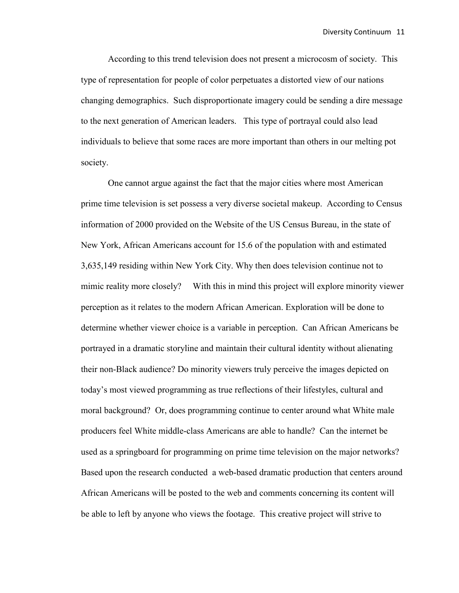According to this trend television does not present a microcosm of society. This type of representation for people of color perpetuates a distorted view of our nations changing demographics. Such disproportionate imagery could be sending a dire message to the next generation of American leaders. This type of portrayal could also lead individuals to believe that some races are more important than others in our melting pot society.

One cannot argue against the fact that the major cities where most American prime time television is set possess a very diverse societal makeup. According to Census information of 2000 provided on the Website of the US Census Bureau, in the state of New York, African Americans account for 15.6 of the population with and estimated 3,635,149 residing within New York City. Why then does television continue not to mimic reality more closely? With this in mind this project will explore minority viewer perception as it relates to the modern African American. Exploration will be done to determine whether viewer choice is a variable in perception. Can African Americans be portrayed in a dramatic storyline and maintain their cultural identity without alienating their non-Black audience? Do minority viewers truly perceive the images depicted on today's most viewed programming as true reflections of their lifestyles, cultural and moral background? Or, does programming continue to center around what White male producers feel White middle-class Americans are able to handle? Can the internet be used as a springboard for programming on prime time television on the major networks? Based upon the research conducted a web-based dramatic production that centers around African Americans will be posted to the web and comments concerning its content will be able to left by anyone who views the footage. This creative project will strive to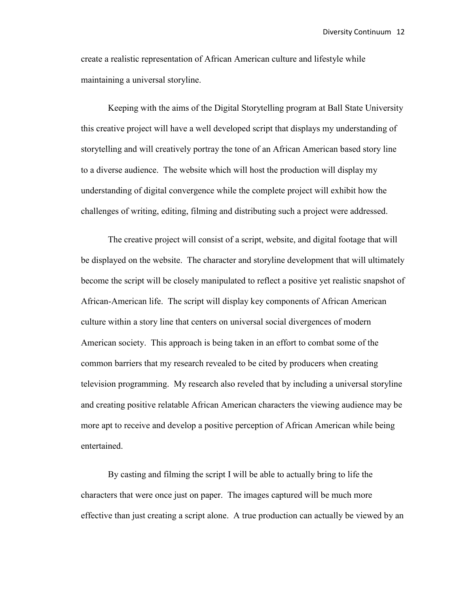create a realistic representation of African American culture and lifestyle while maintaining a universal storyline.

Keeping with the aims of the Digital Storytelling program at Ball State University this creative project will have a well developed script that displays my understanding of storytelling and will creatively portray the tone of an African American based story line to a diverse audience. The website which will host the production will display my understanding of digital convergence while the complete project will exhibit how the challenges of writing, editing, filming and distributing such a project were addressed.

The creative project will consist of a script, website, and digital footage that will be displayed on the website. The character and storyline development that will ultimately become the script will be closely manipulated to reflect a positive yet realistic snapshot of African-American life. The script will display key components of African American culture within a story line that centers on universal social divergences of modern American society. This approach is being taken in an effort to combat some of the common barriers that my research revealed to be cited by producers when creating television programming. My research also reveled that by including a universal storyline and creating positive relatable African American characters the viewing audience may be more apt to receive and develop a positive perception of African American while being entertained.

By casting and filming the script I will be able to actually bring to life the characters that were once just on paper. The images captured will be much more effective than just creating a script alone. A true production can actually be viewed by an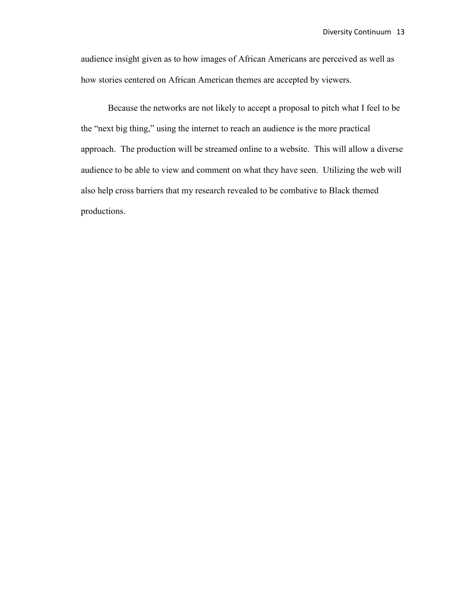audience insight given as to how images of African Americans are perceived as well as how stories centered on African American themes are accepted by viewers.

Because the networks are not likely to accept a proposal to pitch what I feel to be the "next big thing," using the internet to reach an audience is the more practical approach. The production will be streamed online to a website. This will allow a diverse audience to be able to view and comment on what they have seen. Utilizing the web will also help cross barriers that my research revealed to be combative to Black themed productions.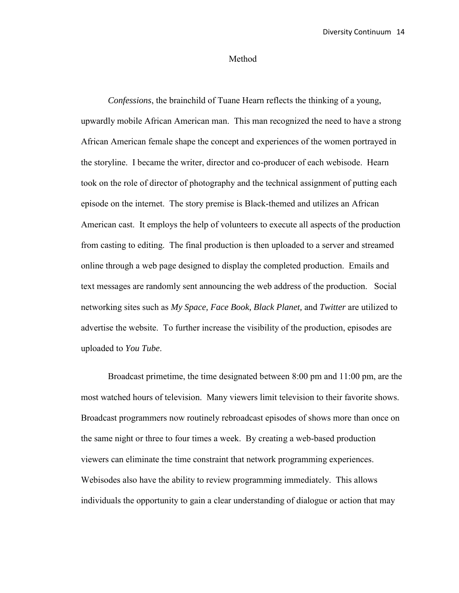#### Method

*Confessions*, the brainchild of Tuane Hearn reflects the thinking of a young, upwardly mobile African American man. This man recognized the need to have a strong African American female shape the concept and experiences of the women portrayed in the storyline. I became the writer, director and co-producer of each webisode. Hearn took on the role of director of photography and the technical assignment of putting each episode on the internet. The story premise is Black-themed and utilizes an African American cast. It employs the help of volunteers to execute all aspects of the production from casting to editing. The final production is then uploaded to a server and streamed online through a web page designed to display the completed production. Emails and text messages are randomly sent announcing the web address of the production. Social networking sites such as *My Space, Face Book, Black Planet,* and *Twitter* are utilized to advertise the website. To further increase the visibility of the production, episodes are uploaded to *You Tube*.

Broadcast primetime, the time designated between 8:00 pm and 11:00 pm, are the most watched hours of television. Many viewers limit television to their favorite shows. Broadcast programmers now routinely rebroadcast episodes of shows more than once on the same night or three to four times a week. By creating a web-based production viewers can eliminate the time constraint that network programming experiences. Webisodes also have the ability to review programming immediately. This allows individuals the opportunity to gain a clear understanding of dialogue or action that may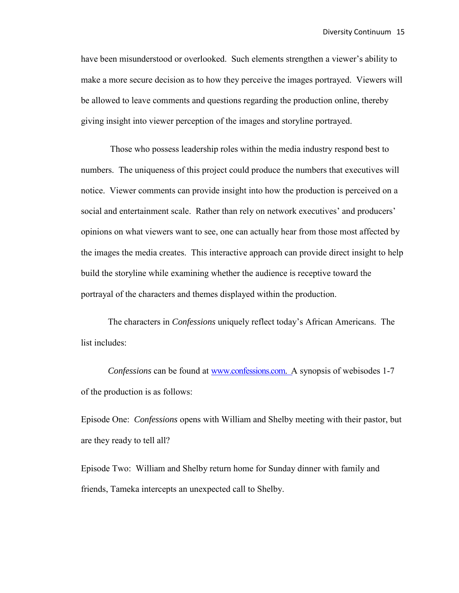have been misunderstood or overlooked. Such elements strengthen a viewer's ability to make a more secure decision as to how they perceive the images portrayed. Viewers will be allowed to leave comments and questions regarding the production online, thereby giving insight into viewer perception of the images and storyline portrayed.

 Those who possess leadership roles within the media industry respond best to numbers. The uniqueness of this project could produce the numbers that executives will notice. Viewer comments can provide insight into how the production is perceived on a social and entertainment scale. Rather than rely on network executives' and producers' opinions on what viewers want to see, one can actually hear from those most affected by the images the media creates. This interactive approach can provide direct insight to help build the storyline while examining whether the audience is receptive toward the portrayal of the characters and themes displayed within the production.

The characters in *Confessions* uniquely reflect today's African Americans. The list includes:

*Confessions* can be found at [www.confessions.com. A](http://www.confessions.com/) synopsis of webisodes 1-7 of the production is as follows:

Episode One: *Confessions* opens with William and Shelby meeting with their pastor, but are they ready to tell all?

Episode Two: William and Shelby return home for Sunday dinner with family and friends, Tameka intercepts an unexpected call to Shelby.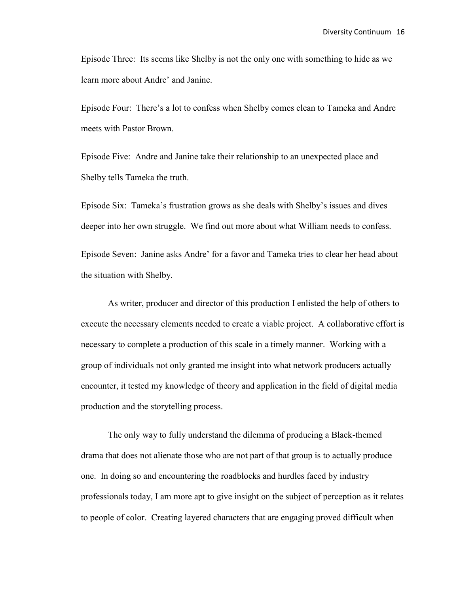Episode Three: Its seems like Shelby is not the only one with something to hide as we learn more about Andre' and Janine.

Episode Four: There's a lot to confess when Shelby comes clean to Tameka and Andre meets with Pastor Brown.

Episode Five: Andre and Janine take their relationship to an unexpected place and Shelby tells Tameka the truth.

Episode Six: Tameka's frustration grows as she deals with Shelby's issues and dives deeper into her own struggle. We find out more about what William needs to confess. Episode Seven: Janine asks Andre' for a favor and Tameka tries to clear her head about the situation with Shelby.

As writer, producer and director of this production I enlisted the help of others to execute the necessary elements needed to create a viable project. A collaborative effort is necessary to complete a production of this scale in a timely manner. Working with a group of individuals not only granted me insight into what network producers actually encounter, it tested my knowledge of theory and application in the field of digital media production and the storytelling process.

The only way to fully understand the dilemma of producing a Black-themed drama that does not alienate those who are not part of that group is to actually produce one. In doing so and encountering the roadblocks and hurdles faced by industry professionals today, I am more apt to give insight on the subject of perception as it relates to people of color. Creating layered characters that are engaging proved difficult when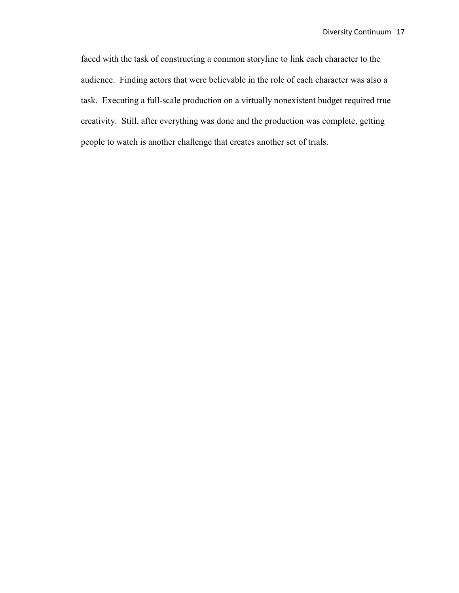faced with the task of constructing a common storyline to link each character to the audience. Finding actors that were believable in the role of each character was also a task. Executing a full-scale production on a virtually nonexistent budget required true creativity. Still, after everything was done and the production was complete, getting people to watch is another challenge that creates another set of trials.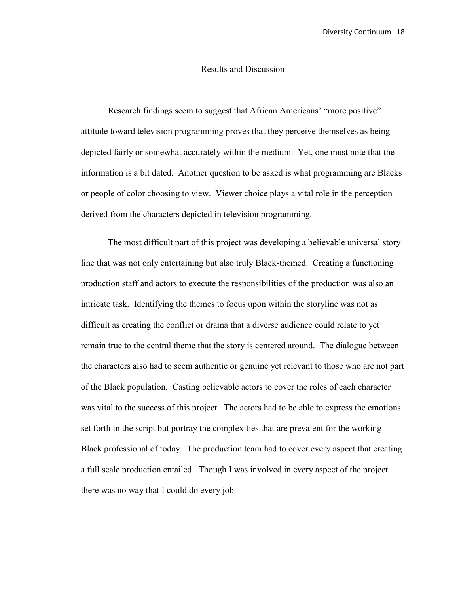#### Results and Discussion

Research findings seem to suggest that African Americans' "more positive" attitude toward television programming proves that they perceive themselves as being depicted fairly or somewhat accurately within the medium. Yet, one must note that the information is a bit dated. Another question to be asked is what programming are Blacks or people of color choosing to view. Viewer choice plays a vital role in the perception derived from the characters depicted in television programming.

 The most difficult part of this project was developing a believable universal story line that was not only entertaining but also truly Black-themed. Creating a functioning production staff and actors to execute the responsibilities of the production was also an intricate task. Identifying the themes to focus upon within the storyline was not as difficult as creating the conflict or drama that a diverse audience could relate to yet remain true to the central theme that the story is centered around. The dialogue between the characters also had to seem authentic or genuine yet relevant to those who are not part of the Black population. Casting believable actors to cover the roles of each character was vital to the success of this project. The actors had to be able to express the emotions set forth in the script but portray the complexities that are prevalent for the working Black professional of today. The production team had to cover every aspect that creating a full scale production entailed. Though I was involved in every aspect of the project there was no way that I could do every job.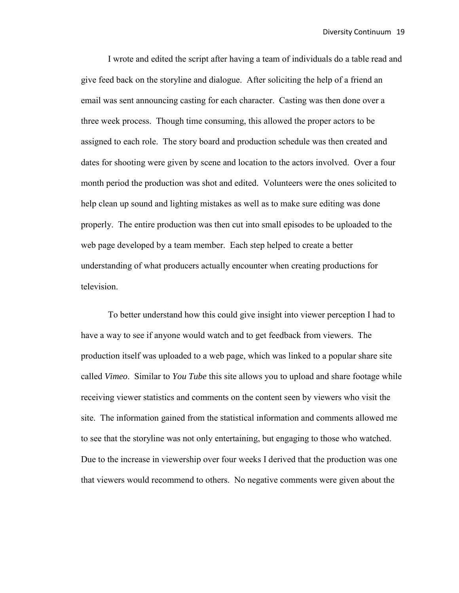I wrote and edited the script after having a team of individuals do a table read and give feed back on the storyline and dialogue. After soliciting the help of a friend an email was sent announcing casting for each character. Casting was then done over a three week process. Though time consuming, this allowed the proper actors to be assigned to each role. The story board and production schedule was then created and dates for shooting were given by scene and location to the actors involved. Over a four month period the production was shot and edited. Volunteers were the ones solicited to help clean up sound and lighting mistakes as well as to make sure editing was done properly. The entire production was then cut into small episodes to be uploaded to the web page developed by a team member. Each step helped to create a better understanding of what producers actually encounter when creating productions for television.

 To better understand how this could give insight into viewer perception I had to have a way to see if anyone would watch and to get feedback from viewers. The production itself was uploaded to a web page, which was linked to a popular share site called *Vimeo*. Similar to *You Tube* this site allows you to upload and share footage while receiving viewer statistics and comments on the content seen by viewers who visit the site. The information gained from the statistical information and comments allowed me to see that the storyline was not only entertaining, but engaging to those who watched. Due to the increase in viewership over four weeks I derived that the production was one that viewers would recommend to others. No negative comments were given about the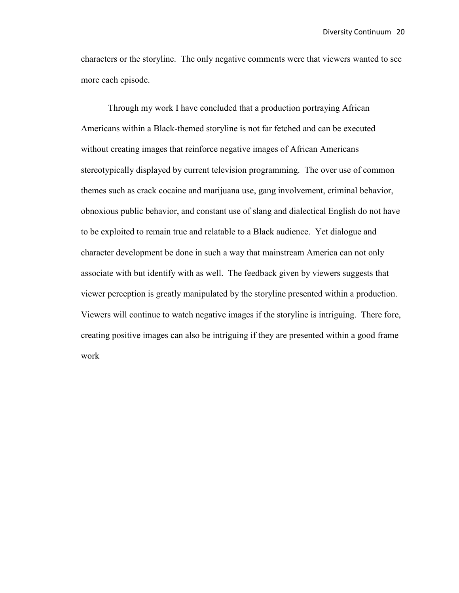characters or the storyline. The only negative comments were that viewers wanted to see more each episode.

Through my work I have concluded that a production portraying African Americans within a Black-themed storyline is not far fetched and can be executed without creating images that reinforce negative images of African Americans stereotypically displayed by current television programming. The over use of common themes such as crack cocaine and marijuana use, gang involvement, criminal behavior, obnoxious public behavior, and constant use of slang and dialectical English do not have to be exploited to remain true and relatable to a Black audience. Yet dialogue and character development be done in such a way that mainstream America can not only associate with but identify with as well. The feedback given by viewers suggests that viewer perception is greatly manipulated by the storyline presented within a production. Viewers will continue to watch negative images if the storyline is intriguing. There fore, creating positive images can also be intriguing if they are presented within a good frame work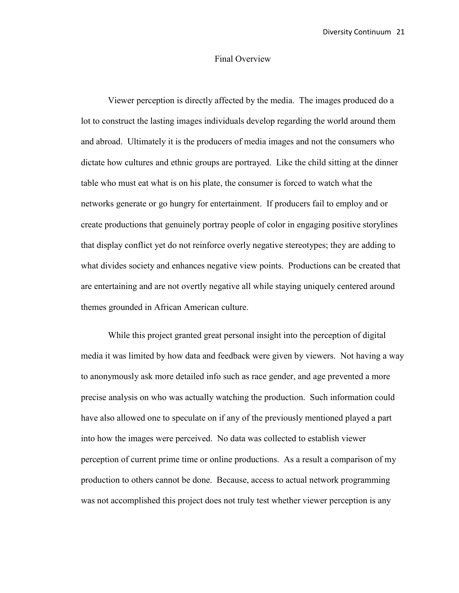### Final Overview

 Viewer perception is directly affected by the media. The images produced do a lot to construct the lasting images individuals develop regarding the world around them and abroad. Ultimately it is the producers of media images and not the consumers who dictate how cultures and ethnic groups are portrayed. Like the child sitting at the dinner table who must eat what is on his plate, the consumer is forced to watch what the networks generate or go hungry for entertainment. If producers fail to employ and or create productions that genuinely portray people of color in engaging positive storylines that display conflict yet do not reinforce overly negative stereotypes; they are adding to what divides society and enhances negative view points. Productions can be created that are entertaining and are not overtly negative all while staying uniquely centered around themes grounded in African American culture.

 While this project granted great personal insight into the perception of digital media it was limited by how data and feedback were given by viewers. Not having a way to anonymously ask more detailed info such as race gender, and age prevented a more precise analysis on who was actually watching the production. Such information could have also allowed one to speculate on if any of the previously mentioned played a part into how the images were perceived. No data was collected to establish viewer perception of current prime time or online productions. As a result a comparison of my production to others cannot be done. Because, access to actual network programming was not accomplished this project does not truly test whether viewer perception is any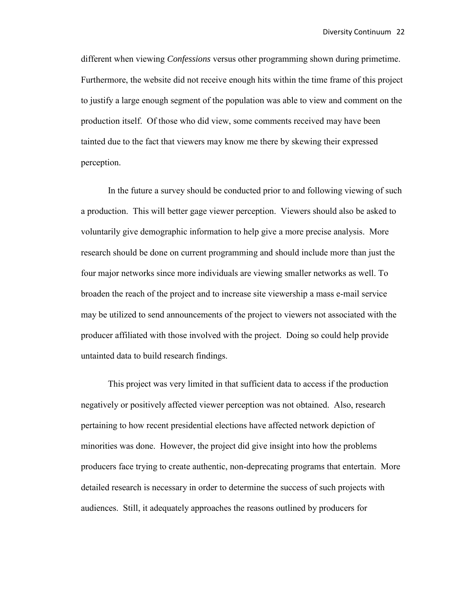different when viewing *Confessions* versus other programming shown during primetime. Furthermore, the website did not receive enough hits within the time frame of this project to justify a large enough segment of the population was able to view and comment on the production itself. Of those who did view, some comments received may have been tainted due to the fact that viewers may know me there by skewing their expressed perception.

 In the future a survey should be conducted prior to and following viewing of such a production. This will better gage viewer perception. Viewers should also be asked to voluntarily give demographic information to help give a more precise analysis. More research should be done on current programming and should include more than just the four major networks since more individuals are viewing smaller networks as well. To broaden the reach of the project and to increase site viewership a mass e-mail service may be utilized to send announcements of the project to viewers not associated with the producer affiliated with those involved with the project. Doing so could help provide untainted data to build research findings.

 This project was very limited in that sufficient data to access if the production negatively or positively affected viewer perception was not obtained. Also, research pertaining to how recent presidential elections have affected network depiction of minorities was done. However, the project did give insight into how the problems producers face trying to create authentic, non-deprecating programs that entertain. More detailed research is necessary in order to determine the success of such projects with audiences. Still, it adequately approaches the reasons outlined by producers for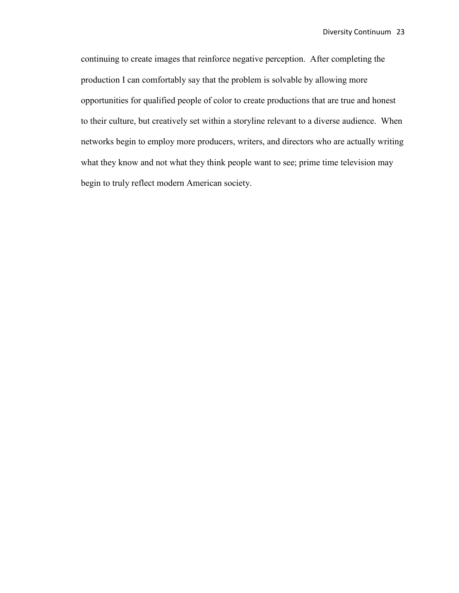continuing to create images that reinforce negative perception. After completing the production I can comfortably say that the problem is solvable by allowing more opportunities for qualified people of color to create productions that are true and honest to their culture, but creatively set within a storyline relevant to a diverse audience. When networks begin to employ more producers, writers, and directors who are actually writing what they know and not what they think people want to see; prime time television may begin to truly reflect modern American society.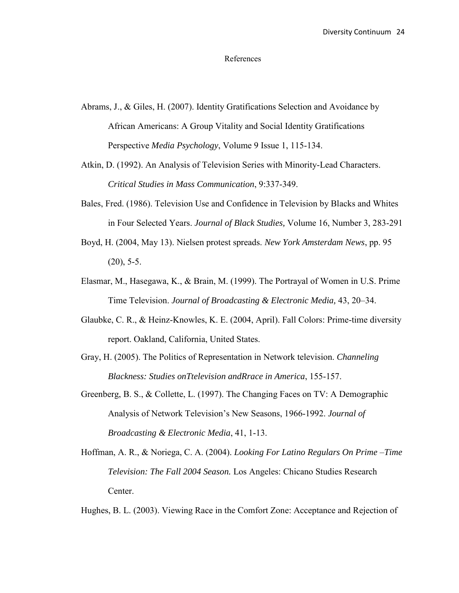#### References

- Abrams, J., & Giles, H. (2007). Identity Gratifications Selection and Avoidance by African Americans: A Group Vitality and Social Identity Gratifications Perspective *Media Psychology*, Volume 9 Issue 1, 115-134.
- Atkin, D. (1992). An Analysis of Television Series with Minority-Lead Characters. *Critical Studies in Mass Communication*, 9:337-349.
- Bales, Fred. (1986). Television Use and Confidence in Television by Blacks and Whites in Four Selected Years. *Journal of Black Studies,* Volume 16, Number 3, 283-291
- Boyd, H. (2004, May 13). Nielsen protest spreads. *New York Amsterdam News*, pp. 95  $(20)$ , 5-5.
- Elasmar, M., Hasegawa, K., & Brain, M. (1999). The Portrayal of Women in U.S. Prime Time Television. *Journal of Broadcasting & Electronic Media,* 43, 20–34.
- Glaubke, C. R., & Heinz-Knowles, K. E. (2004, April). Fall Colors: Prime-time diversity report. Oakland, California, United States.
- Gray, H. (2005). The Politics of Representation in Network television. *Channeling Blackness: Studies onTtelevision andRrace in America*, 155-157.
- Greenberg, B. S., & Collette, L. (1997). The Changing Faces on TV: A Demographic Analysis of Network Television's New Seasons, 1966-1992. *Journal of Broadcasting & Electronic Media*, 41, 1-13.
- Hoffman, A. R., & Noriega, C. A. (2004). *Looking For Latino Regulars On Prime –Time Television: The Fall 2004 Season.* Los Angeles: Chicano Studies Research Center.

Hughes, B. L. (2003). Viewing Race in the Comfort Zone: Acceptance and Rejection of